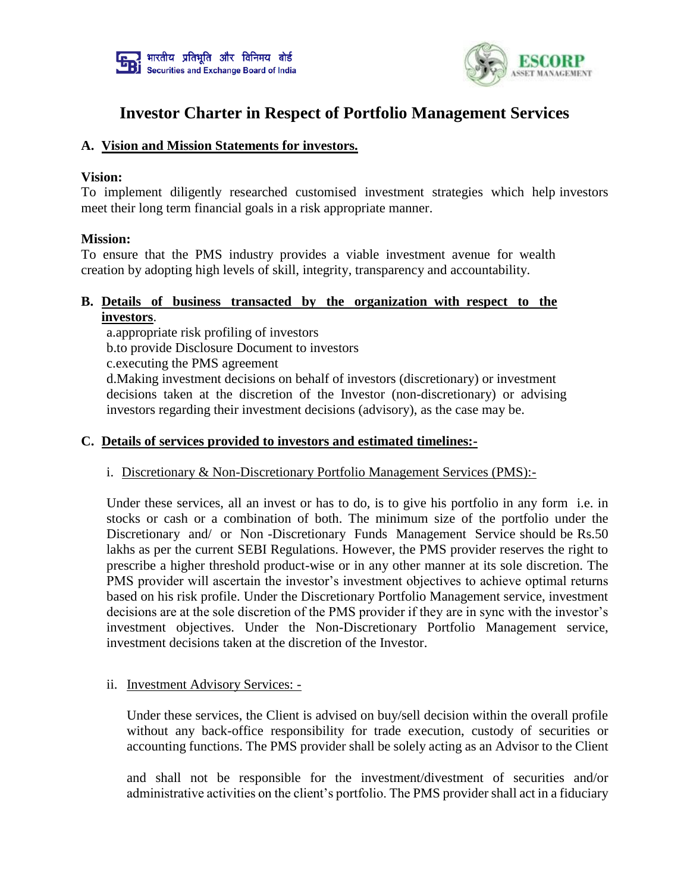



# **Investor Charter in Respect of Portfolio Management Services**

### **A. Vision and Mission Statements for investors.**

#### **Vision:**

To implement diligently researched customised investment strategies which help investors meet their long term financial goals in a risk appropriate manner.

#### **Mission:**

To ensure that the PMS industry provides a viable investment avenue for wealth creation by adopting high levels of skill, integrity, transparency and accountability.

# **B. Details of business transacted by the organization with respect to the investors**.

a.appropriate risk profiling of investors b.to provide Disclosure Document to investors c.executing the PMS agreement

d.Making investment decisions on behalf of investors (discretionary) or investment decisions taken at the discretion of the Investor (non-discretionary) or advising investors regarding their investment decisions (advisory), as the case may be.

#### **C. Details of services provided to investors and estimated timelines:-**

#### i. Discretionary & Non-Discretionary Portfolio Management Services (PMS):-

Under these services, all an invest or has to do, is to give his portfolio in any form i.e. in stocks or cash or a combination of both. The minimum size of the portfolio under the Discretionary and/ or Non -Discretionary Funds Management Service should be Rs.50 lakhs as per the current SEBI Regulations. However, the PMS provider reserves the right to prescribe a higher threshold product-wise or in any other manner at its sole discretion. The PMS provider will ascertain the investor's investment objectives to achieve optimal returns based on his risk profile. Under the Discretionary Portfolio Management service, investment decisions are at the sole discretion of the PMS provider if they are in sync with the investor's investment objectives. Under the Non-Discretionary Portfolio Management service, investment decisions taken at the discretion of the Investor.

#### ii. Investment Advisory Services: -

Under these services, the Client is advised on buy/sell decision within the overall profile without any back-office responsibility for trade execution, custody of securities or accounting functions. The PMS provider shall be solely acting as an Advisor to the Client

and shall not be responsible for the investment/divestment of securities and/or administrative activities on the client's portfolio. The PMS provider shall act in a fiduciary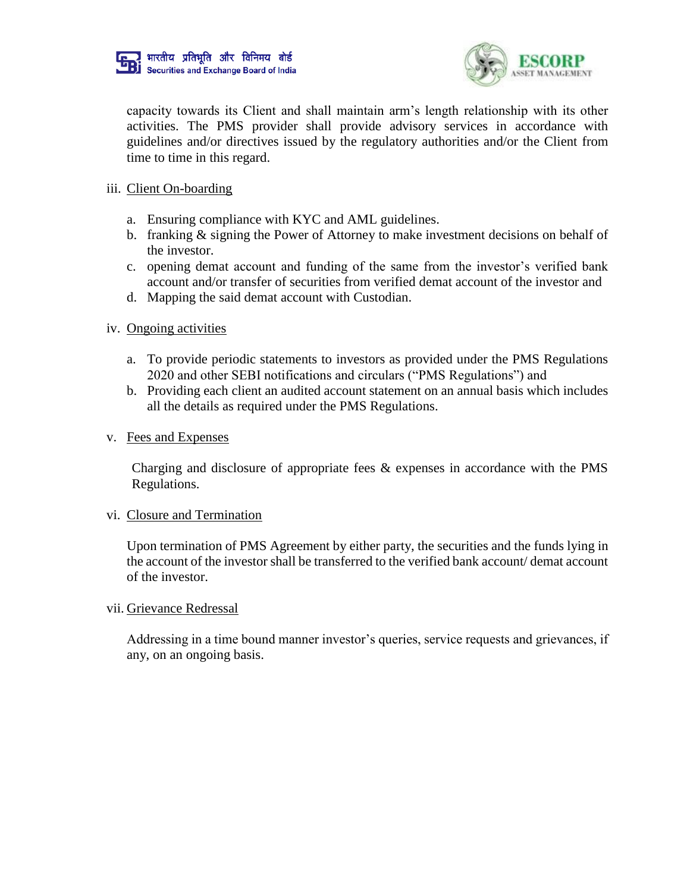



capacity towards its Client and shall maintain arm's length relationship with its other activities. The PMS provider shall provide advisory services in accordance with guidelines and/or directives issued by the regulatory authorities and/or the Client from time to time in this regard.

#### iii. Client On-boarding

- a. Ensuring compliance with KYC and AML guidelines.
- b. franking & signing the Power of Attorney to make investment decisions on behalf of the investor.
- c. opening demat account and funding of the same from the investor's verified bank account and/or transfer of securities from verified demat account of the investor and
- d. Mapping the said demat account with Custodian.

#### iv. Ongoing activities

- a. To provide periodic statements to investors as provided under the PMS Regulations 2020 and other SEBI notifications and circulars ("PMS Regulations") and
- b. Providing each client an audited account statement on an annual basis which includes all the details as required under the PMS Regulations.
- v. Fees and Expenses

Charging and disclosure of appropriate fees & expenses in accordance with the PMS Regulations.

#### vi. Closure and Termination

Upon termination of PMS Agreement by either party, the securities and the funds lying in the account of the investor shall be transferred to the verified bank account/ demat account of the investor.

#### vii. Grievance Redressal

Addressing in a time bound manner investor's queries, service requests and grievances, if any, on an ongoing basis.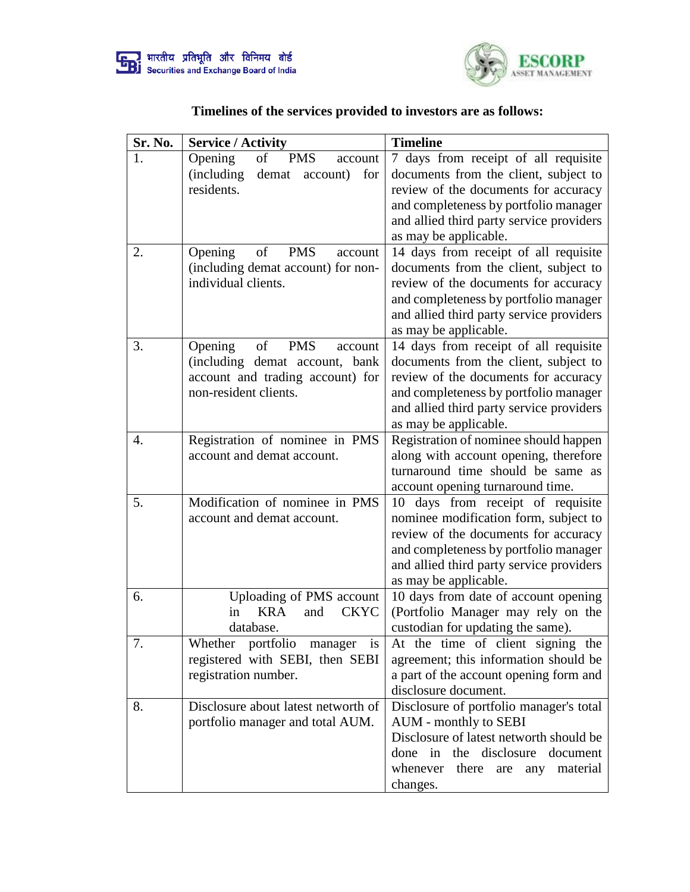



# **Timelines of the services provided to investors are as follows:**

| Sr. No. | <b>Service / Activity</b>                      | <b>Timeline</b>                          |
|---------|------------------------------------------------|------------------------------------------|
| 1.      | Opening<br><b>PMS</b><br>of<br>account         | 7 days from receipt of all requisite     |
|         | <i>(including)</i><br>demat<br>account)<br>for | documents from the client, subject to    |
|         | residents.                                     | review of the documents for accuracy     |
|         |                                                | and completeness by portfolio manager    |
|         |                                                | and allied third party service providers |
|         |                                                | as may be applicable.                    |
| 2.      | Opening<br><b>PMS</b><br>of<br>account         | 14 days from receipt of all requisite    |
|         | (including demat account) for non-             | documents from the client, subject to    |
|         | individual clients.                            | review of the documents for accuracy     |
|         |                                                | and completeness by portfolio manager    |
|         |                                                | and allied third party service providers |
|         |                                                | as may be applicable.                    |
| 3.      | Opening<br>of<br><b>PMS</b><br>account         | 14 days from receipt of all requisite    |
|         | (including demat account, bank                 | documents from the client, subject to    |
|         | account and trading account) for               | review of the documents for accuracy     |
|         | non-resident clients.                          | and completeness by portfolio manager    |
|         |                                                | and allied third party service providers |
|         |                                                | as may be applicable.                    |
| 4.      | Registration of nominee in PMS                 | Registration of nominee should happen    |
|         | account and demat account.                     | along with account opening, therefore    |
|         |                                                | turnaround time should be same as        |
|         |                                                | account opening turnaround time.         |
| 5.      | Modification of nominee in PMS                 | days from receipt of requisite<br>10     |
|         | account and demat account.                     | nominee modification form, subject to    |
|         |                                                | review of the documents for accuracy     |
|         |                                                | and completeness by portfolio manager    |
|         |                                                | and allied third party service providers |
|         |                                                | as may be applicable.                    |
| 6.      | Uploading of PMS account                       | 10 days from date of account opening     |
|         | <b>CKYC</b><br>in<br><b>KRA</b><br>and         | (Portfolio Manager may rely on the       |
|         | database.                                      | custodian for updating the same).        |
| 7.      | Whether portfolio manager<br>is                | At the time of client signing the        |
|         | registered with SEBI, then SEBI                | agreement; this information should be    |
|         | registration number.                           | a part of the account opening form and   |
|         |                                                | disclosure document.                     |
| 8.      | Disclosure about latest networth of            | Disclosure of portfolio manager's total  |
|         | portfolio manager and total AUM.               | AUM - monthly to SEBI                    |
|         |                                                | Disclosure of latest networth should be  |
|         |                                                | the disclosure<br>done in<br>document    |
|         |                                                | whenever<br>there<br>any material<br>are |
|         |                                                | changes.                                 |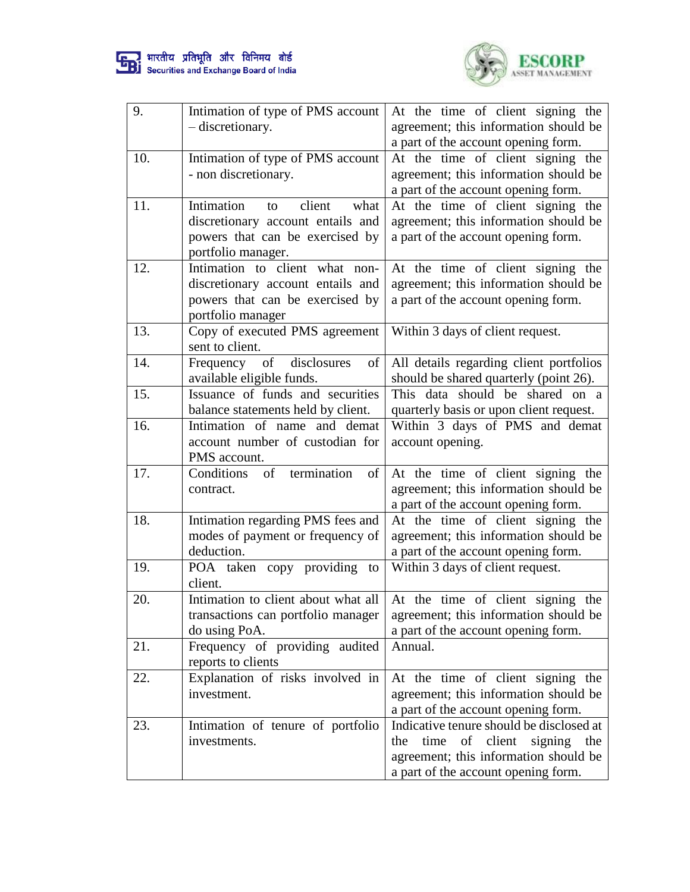



| 9.  | Intimation of type of PMS account     | At the time of client signing the          |
|-----|---------------------------------------|--------------------------------------------|
|     | - discretionary.                      | agreement; this information should be      |
|     |                                       | a part of the account opening form.        |
| 10. | Intimation of type of PMS account     | At the time of client signing the          |
|     | - non discretionary.                  | agreement; this information should be      |
|     |                                       | a part of the account opening form.        |
| 11. | Intimation<br>client<br>what<br>to    | At the time of client signing the          |
|     | discretionary account entails and     | agreement; this information should be      |
|     | powers that can be exercised by       | a part of the account opening form.        |
|     | portfolio manager.                    |                                            |
| 12. | Intimation to client what non-        | At the time of client signing the          |
|     | discretionary account entails and     | agreement; this information should be      |
|     | powers that can be exercised by       | a part of the account opening form.        |
|     | portfolio manager                     |                                            |
| 13. | Copy of executed PMS agreement        | Within 3 days of client request.           |
|     | sent to client.                       |                                            |
| 14. | Frequency of disclosures<br>of        | All details regarding client portfolios    |
|     | available eligible funds.             | should be shared quarterly (point 26).     |
| 15. | Issuance of funds and securities      | This data should be shared on a            |
|     | balance statements held by client.    | quarterly basis or upon client request.    |
| 16. | Intimation of name and demat          | Within 3 days of PMS and demat             |
|     | account number of custodian for       | account opening.                           |
|     | PMS account.                          |                                            |
| 17. | Conditions<br>of<br>termination<br>of | At the time of client signing the          |
|     | contract.                             | agreement; this information should be      |
|     |                                       | a part of the account opening form.        |
| 18. | Intimation regarding PMS fees and     | At the time of client signing the          |
|     | modes of payment or frequency of      | agreement; this information should be      |
|     | deduction.                            | a part of the account opening form.        |
| 19. | POA taken copy providing to           | Within 3 days of client request.           |
|     | client.                               |                                            |
| 20. | Intimation to client about what all   | At the time of client signing the          |
|     | transactions can portfolio manager    | agreement; this information should be      |
|     | do using PoA.                         | a part of the account opening form.        |
| 21. | Frequency of providing audited        | Annual.                                    |
|     | reports to clients                    |                                            |
| 22. | Explanation of risks involved in      | At the time of client signing the          |
|     | investment.                           | agreement; this information should be      |
|     |                                       | a part of the account opening form.        |
| 23. | Intimation of tenure of portfolio     | Indicative tenure should be disclosed at   |
|     | investments.                          | of client<br>time<br>signing<br>the<br>the |
|     |                                       | agreement; this information should be      |
|     |                                       | a part of the account opening form.        |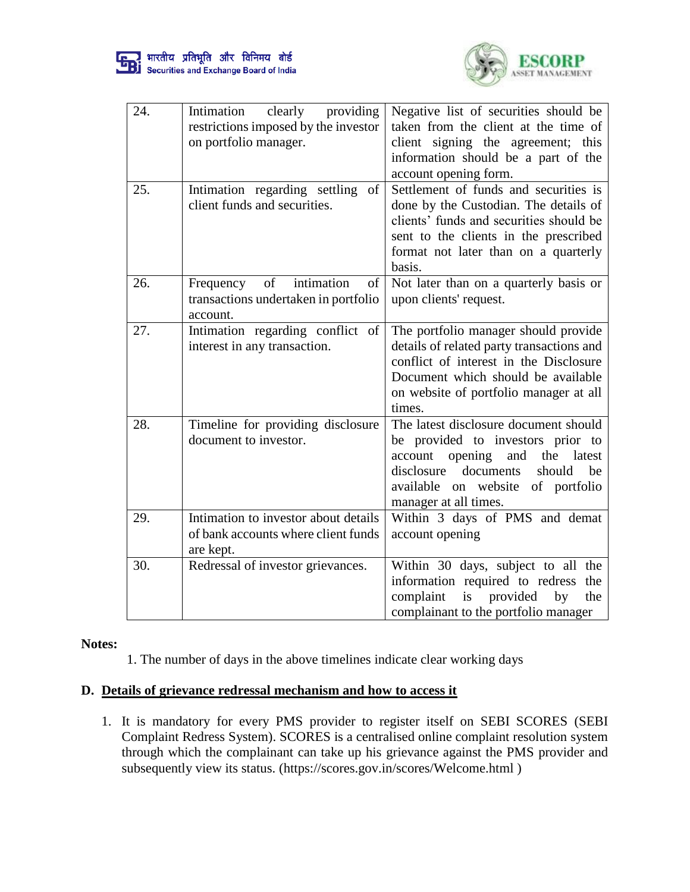



| 24. | clearly<br>Intimation<br>providing<br>restrictions imposed by the investor<br>on portfolio manager. | Negative list of securities should be<br>taken from the client at the time of<br>client signing the agreement; this<br>information should be a part of the<br>account opening form.                                            |
|-----|-----------------------------------------------------------------------------------------------------|--------------------------------------------------------------------------------------------------------------------------------------------------------------------------------------------------------------------------------|
| 25. | Intimation regarding settling of<br>client funds and securities.                                    | Settlement of funds and securities is<br>done by the Custodian. The details of<br>clients' funds and securities should be<br>sent to the clients in the prescribed<br>format not later than on a quarterly<br>basis.           |
| 26. | of<br>intimation<br>of<br>Frequency<br>transactions undertaken in portfolio<br>account.             | Not later than on a quarterly basis or<br>upon clients' request.                                                                                                                                                               |
| 27. | Intimation regarding conflict of<br>interest in any transaction.                                    | The portfolio manager should provide<br>details of related party transactions and<br>conflict of interest in the Disclosure<br>Document which should be available<br>on website of portfolio manager at all<br>times.          |
| 28. | Timeline for providing disclosure<br>document to investor.                                          | The latest disclosure document should<br>be provided to investors prior to<br>account opening<br>and<br>the<br>latest<br>disclosure<br>documents<br>should<br>be<br>available on website of portfolio<br>manager at all times. |
| 29. | Intimation to investor about details<br>of bank accounts where client funds<br>are kept.            | Within 3 days of PMS and demat<br>account opening                                                                                                                                                                              |
| 30. | Redressal of investor grievances.                                                                   | Within 30 days, subject to all the<br>information required to redress the<br>complaint<br>provided<br>is<br>by<br>the<br>complainant to the portfolio manager                                                                  |

#### **Notes:**

1. The number of days in the above timelines indicate clear working days

# **D. Details of grievance redressal mechanism and how to access it**

1. It is mandatory for every PMS provider to register itself on SEBI SCORES (SEBI Complaint Redress System). SCORES is a centralised online complaint resolution system through which the complainant can take up his grievance against the PMS provider and subsequently view its status. (https://scores.gov.in/scores/Welcome.html )